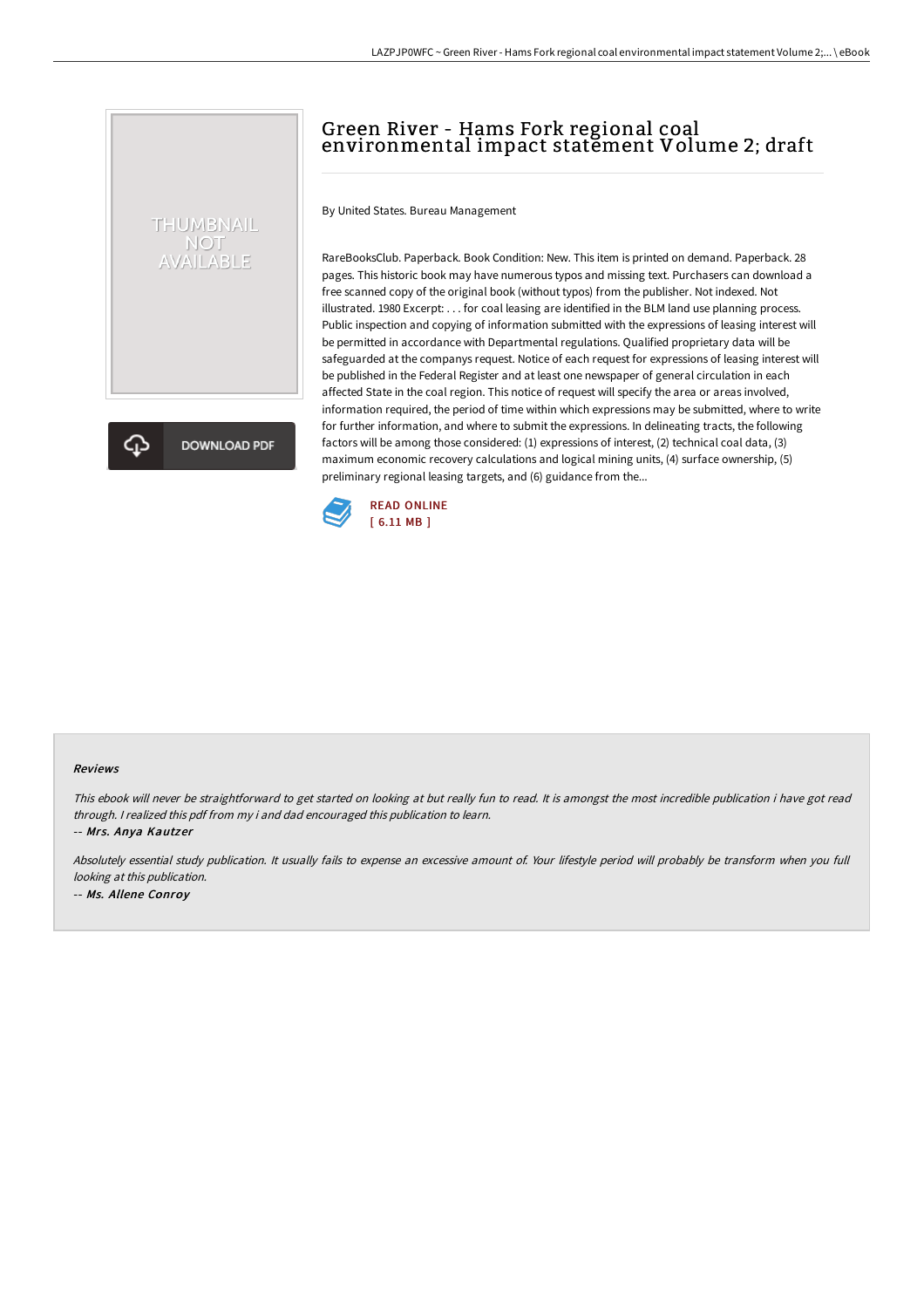# Green River - Hams Fork regional coal environmental impact statement Volume 2; draft

By United States. Bureau Management

RareBooksClub. Paperback. Book Condition: New. This item is printed on demand. Paperback. 28 pages. This historic book may have numerous typos and missing text. Purchasers can download a free scanned copy of the original book (without typos) from the publisher. Not indexed. Not illustrated. 1980 Excerpt: . . . for coal leasing are identified in the BLM land use planning process. Public inspection and copying of information submitted with the expressions of leasing interest will be permitted in accordance with Departmental regulations. Qualified proprietary data will be safeguarded at the companys request. Notice of each request for expressions of leasing interest will be published in the Federal Register and at least one newspaper of general circulation in each affected State in the coal region. This notice of request will specify the area or areas involved, information required, the period of time within which expressions may be submitted, where to write for further information, and where to submit the expressions. In delineating tracts, the following factors will be among those considered: (1) expressions of interest, (2) technical coal data, (3) maximum economic recovery calculations and logical mining units, (4) surface ownership, (5) preliminary regional leasing targets, and (6) guidance from the...



#### Reviews

This ebook will never be straightforward to get started on looking at but really fun to read. It is amongst the most incredible publication i have got read through. <sup>I</sup> realized this pdf from my i and dad encouraged this publication to learn.

-- Mrs. Anya Kautzer

THUMBNAIL NOT<br>AVAILABLE

**DOWNLOAD PDF** 

Absolutely essential study publication. It usually fails to expense an excessive amount of. Your lifestyle period will probably be transform when you full looking at this publication. -- Ms. Allene Conroy